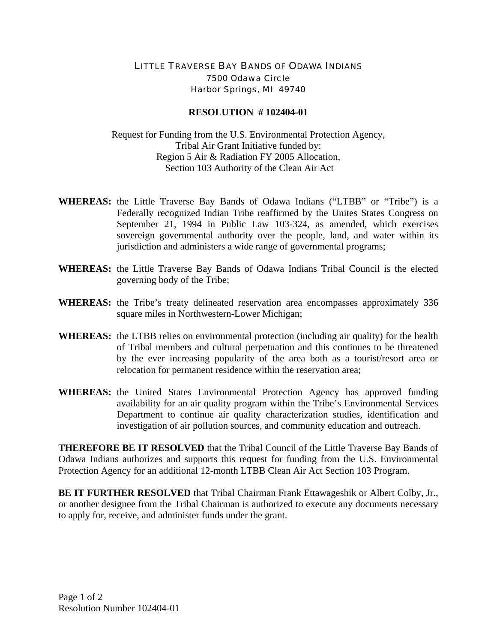## LITTLE TRAVERSE BAY BANDS OF ODAWA INDIANS 7500 Odawa Circle Harbor Springs, MI 49740

## **RESOLUTION # 102404-01**

Request for Funding from the U.S. Environmental Protection Agency, Tribal Air Grant Initiative funded by: Region 5 Air & Radiation FY 2005 Allocation, Section 103 Authority of the Clean Air Act

- **WHEREAS:** the Little Traverse Bay Bands of Odawa Indians ("LTBB" or "Tribe") is a Federally recognized Indian Tribe reaffirmed by the Unites States Congress on September 21, 1994 in Public Law 103-324, as amended, which exercises sovereign governmental authority over the people, land, and water within its jurisdiction and administers a wide range of governmental programs;
- **WHEREAS:** the Little Traverse Bay Bands of Odawa Indians Tribal Council is the elected governing body of the Tribe;
- **WHEREAS:** the Tribe's treaty delineated reservation area encompasses approximately 336 square miles in Northwestern-Lower Michigan;
- **WHEREAS:** the LTBB relies on environmental protection (including air quality) for the health of Tribal members and cultural perpetuation and this continues to be threatened by the ever increasing popularity of the area both as a tourist/resort area or relocation for permanent residence within the reservation area;
- **WHEREAS:** the United States Environmental Protection Agency has approved funding availability for an air quality program within the Tribe's Environmental Services Department to continue air quality characterization studies, identification and investigation of air pollution sources, and community education and outreach.

**THEREFORE BE IT RESOLVED** that the Tribal Council of the Little Traverse Bay Bands of Odawa Indians authorizes and supports this request for funding from the U.S. Environmental Protection Agency for an additional 12-month LTBB Clean Air Act Section 103 Program.

**BE IT FURTHER RESOLVED** that Tribal Chairman Frank Ettawageshik or Albert Colby, Jr., or another designee from the Tribal Chairman is authorized to execute any documents necessary to apply for, receive, and administer funds under the grant.